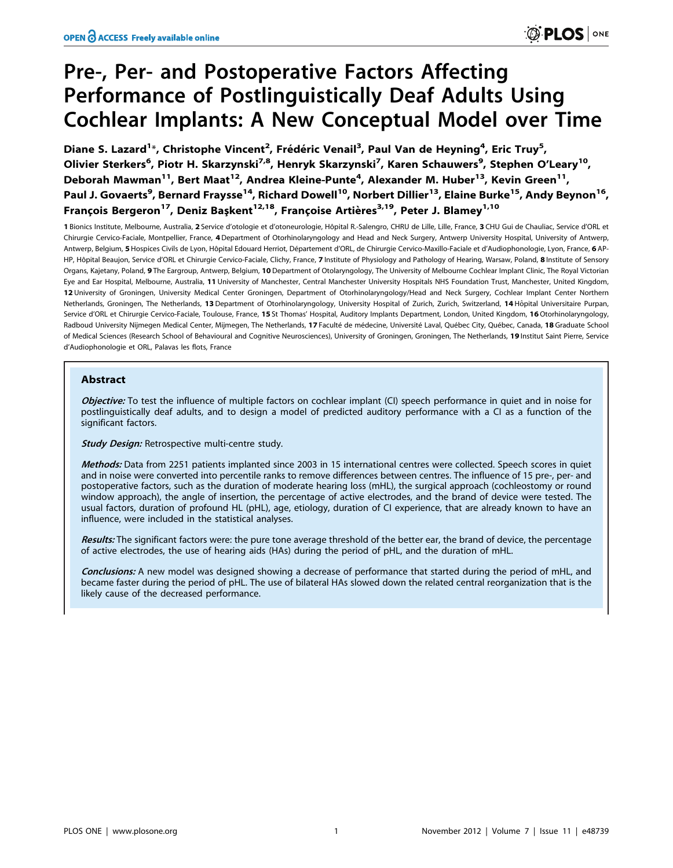# Pre-, Per- and Postoperative Factors Affecting Performance of Postlinguistically Deaf Adults Using Cochlear Implants: A New Conceptual Model over Time

Diane S. Lazard<sup>1</sup>\*, Christophe Vincent<sup>2</sup>, Frédéric Venail<sup>3</sup>, Paul Van de Heyning<sup>4</sup>, Eric Truy<sup>5</sup>, Olivier Sterkers<sup>6</sup>, Piotr H. Skarzynski<sup>7,8</sup>, Henryk Skarzynski<sup>7</sup>, Karen Schauwers<sup>9</sup>, Stephen O'Leary<sup>10</sup>, Deborah Mawman<sup>11</sup>, Bert Maat<sup>12</sup>, Andrea Kleine-Punte<sup>4</sup>, Alexander M. Huber<sup>13</sup>, Kevin Green<sup>11</sup>, Paul J. Govaerts<sup>9</sup>, Bernard Fraysse<sup>14</sup>, Richard Dowell<sup>10</sup>, Norbert Dillier<sup>13</sup>, Elaine Burke<sup>15</sup>, Andy Beynon<sup>16</sup>, Francois Bergeron<sup>17</sup>, Deniz Baskent<sup>12,18</sup>, Francoise Artières<sup>3,19</sup>, Peter J. Blamey<sup>1,10</sup>

1 Bionics Institute, Melbourne, Australia, 2 Service d'otologie et d'otoneurologie, Hôpital R.-Salengro, CHRU de Lille, Lille, France, 3 CHU Gui de Chauliac, Service d'ORL et Chirurgie Cervico-Faciale, Montpellier, France, 4Department of Otorhinolaryngology and Head and Neck Surgery, Antwerp University Hospital, University of Antwerp, Antwerp, Belgium, 5 Hospices Civils de Lyon, Hôpital Edouard Herriot, Département d'ORL, de Chirurgie Cervico-Maxillo-Faciale et d'Audiophonologie, Lyon, France, 6 AP-HP, Hôpital Beaujon, Service d'ORL et Chirurgie Cervico-Faciale, Clichy, France, 7 Institute of Physiology and Pathology of Hearing, Warsaw, Poland, 8 Institute of Sensory Organs, Kajetany, Poland, 9 The Eargroup, Antwerp, Belgium, 10 Department of Otolaryngology, The University of Melbourne Cochlear Implant Clinic, The Royal Victorian Eye and Ear Hospital, Melbourne, Australia, 11 University of Manchester, Central Manchester University Hospitals NHS Foundation Trust, Manchester, United Kingdom, 12 University of Groningen, University Medical Center Groningen, Department of Otorhinolaryngology/Head and Neck Surgery, Cochlear Implant Center Northern Netherlands, Groningen, The Netherlands, 13 Department of Otorhinolaryngology, University Hospital of Zurich, Zurich, Switzerland, 14 Hôpital Universitaire Purpan, Service d'ORL et Chirurgie Cervico-Faciale, Toulouse, France, 15 St Thomas' Hospital, Auditory Implants Department, London, United Kingdom, 16 Otorhinolaryngology, Radboud University Nijmegen Medical Center, Mijmegen, The Netherlands, 17 Faculté de médecine, Université Laval, Québec City, Québec, Canada, 18 Graduate School of Medical Sciences (Research School of Behavioural and Cognitive Neurosciences), University of Groningen, Groningen, The Netherlands, 19 Institut Saint Pierre, Service d'Audiophonologie et ORL, Palavas les flots, France

# Abstract

Objective: To test the influence of multiple factors on cochlear implant (CI) speech performance in quiet and in noise for postlinguistically deaf adults, and to design a model of predicted auditory performance with a CI as a function of the significant factors.

**Study Design:** Retrospective multi-centre study.

Methods: Data from 2251 patients implanted since 2003 in 15 international centres were collected. Speech scores in quiet and in noise were converted into percentile ranks to remove differences between centres. The influence of 15 pre-, per- and postoperative factors, such as the duration of moderate hearing loss (mHL), the surgical approach (cochleostomy or round window approach), the angle of insertion, the percentage of active electrodes, and the brand of device were tested. The usual factors, duration of profound HL (pHL), age, etiology, duration of CI experience, that are already known to have an influence, were included in the statistical analyses.

Results: The significant factors were: the pure tone average threshold of the better ear, the brand of device, the percentage of active electrodes, the use of hearing aids (HAs) during the period of pHL, and the duration of mHL.

Conclusions: A new model was designed showing a decrease of performance that started during the period of mHL, and became faster during the period of pHL. The use of bilateral HAs slowed down the related central reorganization that is the likely cause of the decreased performance.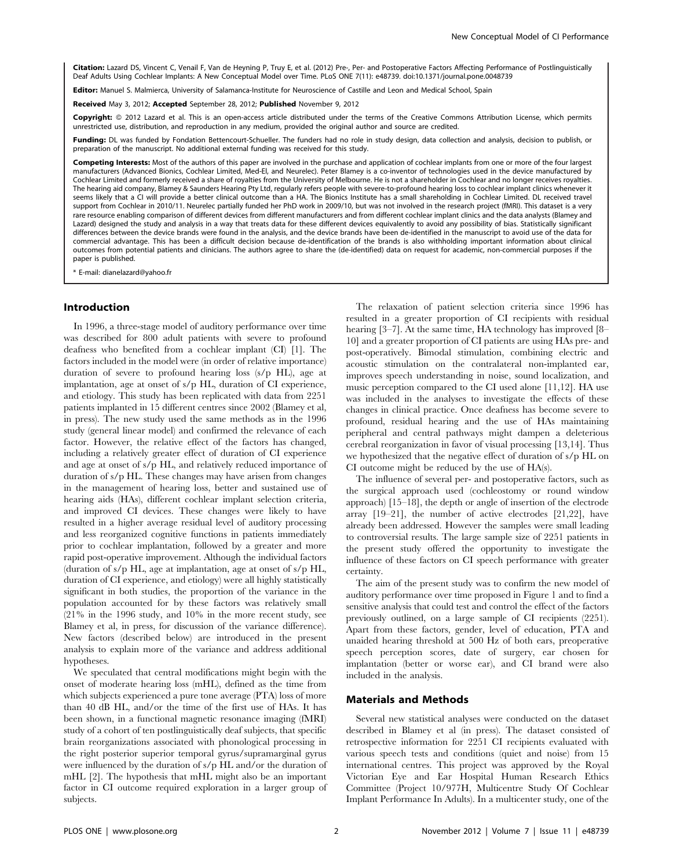Citation: Lazard DS, Vincent C, Venail F, Van de Heyning P, Truy E, et al. (2012) Pre-, Per- and Postoperative Factors Affecting Performance of Postlinguistically Deaf Adults Using Cochlear Implants: A New Conceptual Model over Time. PLoS ONE 7(11): e48739. doi:10.1371/journal.pone.0048739

Editor: Manuel S. Malmierca, University of Salamanca-Institute for Neuroscience of Castille and Leon and Medical School, Spain

Received May 3, 2012; Accepted September 28, 2012; Published November 9, 2012

Copyright: @ 2012 Lazard et al. This is an open-access article distributed under the terms of the Creative Commons Attribution License, which permits unrestricted use, distribution, and reproduction in any medium, provided the original author and source are credited.

Funding: DL was funded by Fondation Bettencourt-Schueller. The funders had no role in study design, data collection and analysis, decision to publish, or preparation of the manuscript. No additional external funding was received for this study.

Competing Interests: Most of the authors of this paper are involved in the purchase and application of cochlear implants from one or more of the four largest manufacturers (Advanced Bionics, Cochlear Limited, Med-El, and Neurelec). Peter Blamey is a co-inventor of technologies used in the device manufactured by Cochlear Limited and formerly received a share of royalties from the University of Melbourne. He is not a shareholder in Cochlear and no longer receives royalties. The hearing aid company, Blamey & Saunders Hearing Pty Ltd, regularly refers people with severe-to-profound hearing loss to cochlear implant clinics whenever it seems likely that a CI will provide a better clinical outcome than a HA. The Bionics Institute has a small shareholding in Cochlear Limited. DL received travel support from Cochlear in 2010/11. Neurelec partially funded her PhD work in 2009/10, but was not involved in the research project (fMRI). This dataset is a very rare resource enabling comparison of different devices from different manufacturers and from different cochlear implant clinics and the data analysts (Blamey and Lazard) designed the study and analysis in a way that treats data for these different devices equivalently to avoid any possibility of bias. Statistically significant differences between the device brands were found in the analysis, and the device brands have been de-identified in the manuscript to avoid use of the data for commercial advantage. This has been a difficult decision because de-identification of the brands is also withholding important information about clinical outcomes from potential patients and clinicians. The authors agree to share the (de-identified) data on request for academic, non-commercial purposes if the paper is published.

E-mail: dianelazard@yahoo.fr

## Introduction

In 1996, a three-stage model of auditory performance over time was described for 800 adult patients with severe to profound deafness who benefited from a cochlear implant (CI) [1]. The factors included in the model were (in order of relative importance) duration of severe to profound hearing loss (s/p HL), age at implantation, age at onset of s/p HL, duration of CI experience, and etiology. This study has been replicated with data from 2251 patients implanted in 15 different centres since 2002 (Blamey et al, in press). The new study used the same methods as in the 1996 study (general linear model) and confirmed the relevance of each factor. However, the relative effect of the factors has changed, including a relatively greater effect of duration of CI experience and age at onset of s/p HL, and relatively reduced importance of duration of s/p HL. These changes may have arisen from changes in the management of hearing loss, better and sustained use of hearing aids (HAs), different cochlear implant selection criteria, and improved CI devices. These changes were likely to have resulted in a higher average residual level of auditory processing and less reorganized cognitive functions in patients immediately prior to cochlear implantation, followed by a greater and more rapid post-operative improvement. Although the individual factors (duration of s/p HL, age at implantation, age at onset of s/p HL, duration of CI experience, and etiology) were all highly statistically significant in both studies, the proportion of the variance in the population accounted for by these factors was relatively small (21% in the 1996 study, and 10% in the more recent study, see Blamey et al, in press, for discussion of the variance difference). New factors (described below) are introduced in the present analysis to explain more of the variance and address additional hypotheses.

We speculated that central modifications might begin with the onset of moderate hearing loss (mHL), defined as the time from which subjects experienced a pure tone average (PTA) loss of more than 40 dB HL, and/or the time of the first use of HAs. It has been shown, in a functional magnetic resonance imaging (fMRI) study of a cohort of ten postlinguistically deaf subjects, that specific brain reorganizations associated with phonological processing in the right posterior superior temporal gyrus/supramarginal gyrus were influenced by the duration of s/p HL and/or the duration of mHL [2]. The hypothesis that mHL might also be an important factor in CI outcome required exploration in a larger group of subjects.

The relaxation of patient selection criteria since 1996 has resulted in a greater proportion of CI recipients with residual hearing [3–7]. At the same time, HA technology has improved [8– 10] and a greater proportion of CI patients are using HAs pre- and post-operatively. Bimodal stimulation, combining electric and acoustic stimulation on the contralateral non-implanted ear, improves speech understanding in noise, sound localization, and music perception compared to the CI used alone [11,12]. HA use was included in the analyses to investigate the effects of these changes in clinical practice. Once deafness has become severe to profound, residual hearing and the use of HAs maintaining peripheral and central pathways might dampen a deleterious cerebral reorganization in favor of visual processing [13,14]. Thus we hypothesized that the negative effect of duration of s/p HL on CI outcome might be reduced by the use of HA(s).

The influence of several per- and postoperative factors, such as the surgical approach used (cochleostomy or round window approach) [15–18], the depth or angle of insertion of the electrode array [19–21], the number of active electrodes [21,22], have already been addressed. However the samples were small leading to controversial results. The large sample size of 2251 patients in the present study offered the opportunity to investigate the influence of these factors on CI speech performance with greater certainty.

The aim of the present study was to confirm the new model of auditory performance over time proposed in Figure 1 and to find a sensitive analysis that could test and control the effect of the factors previously outlined, on a large sample of CI recipients (2251). Apart from these factors, gender, level of education, PTA and unaided hearing threshold at 500 Hz of both ears, preoperative speech perception scores, date of surgery, ear chosen for implantation (better or worse ear), and CI brand were also included in the analysis.

## Materials and Methods

Several new statistical analyses were conducted on the dataset described in Blamey et al (in press). The dataset consisted of retrospective information for 2251 CI recipients evaluated with various speech tests and conditions (quiet and noise) from 15 international centres. This project was approved by the Royal Victorian Eye and Ear Hospital Human Research Ethics Committee (Project 10/977H, Multicentre Study Of Cochlear Implant Performance In Adults). In a multicenter study, one of the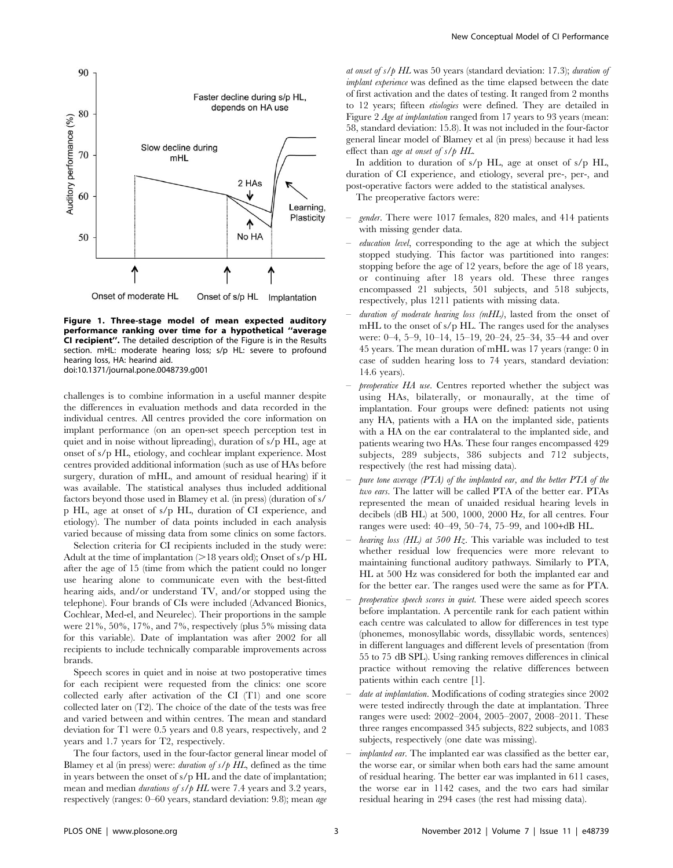

Figure 1. Three-stage model of mean expected auditory performance ranking over time for a hypothetical ''average CI recipient''. The detailed description of the Figure is in the Results section. mHL: moderate hearing loss; s/p HL: severe to profound hearing loss, HA: hearind aid. doi:10.1371/journal.pone.0048739.g001

challenges is to combine information in a useful manner despite the differences in evaluation methods and data recorded in the individual centres. All centres provided the core information on implant performance (on an open-set speech perception test in quiet and in noise without lipreading), duration of s/p HL, age at onset of s/p HL, etiology, and cochlear implant experience. Most centres provided additional information (such as use of HAs before surgery, duration of mHL, and amount of residual hearing) if it was available. The statistical analyses thus included additional factors beyond those used in Blamey et al. (in press) (duration of s/ p HL, age at onset of s/p HL, duration of CI experience, and etiology). The number of data points included in each analysis varied because of missing data from some clinics on some factors.

Selection criteria for CI recipients included in the study were: Adult at the time of implantation  $(>18$  years old); Onset of s/p HL after the age of 15 (time from which the patient could no longer use hearing alone to communicate even with the best-fitted hearing aids, and/or understand TV, and/or stopped using the telephone). Four brands of CIs were included (Advanced Bionics, Cochlear, Med-el, and Neurelec). Their proportions in the sample were 21%, 50%, 17%, and 7%, respectively (plus 5% missing data for this variable). Date of implantation was after 2002 for all recipients to include technically comparable improvements across brands.

Speech scores in quiet and in noise at two postoperative times for each recipient were requested from the clinics: one score collected early after activation of the CI (T1) and one score collected later on (T2). The choice of the date of the tests was free and varied between and within centres. The mean and standard deviation for T1 were 0.5 years and 0.8 years, respectively, and 2 years and 1.7 years for T2, respectively.

The four factors, used in the four-factor general linear model of Blamey et al (in press) were: *duration of s/p HL*, defined as the time in years between the onset of s/p HL and the date of implantation; mean and median *durations of s/p HL* were 7.4 years and 3.2 years, respectively (ranges: 0–60 years, standard deviation: 9.8); mean age at onset of  $s/p$  HL was 50 years (standard deviation: 17.3); duration of implant experience was defined as the time elapsed between the date of first activation and the dates of testing. It ranged from 2 months to 12 years; fifteen etiologies were defined. They are detailed in Figure 2 Age at implantation ranged from 17 years to 93 years (mean: 58, standard deviation: 15.8). It was not included in the four-factor general linear model of Blamey et al (in press) because it had less effect than age at onset of s/p HL.

In addition to duration of s/p HL, age at onset of s/p HL, duration of CI experience, and etiology, several pre-, per-, and post-operative factors were added to the statistical analyses.

The preoperative factors were:

- gender. There were 1017 females, 820 males, and 414 patients with missing gender data.
- education level, corresponding to the age at which the subject stopped studying. This factor was partitioned into ranges: stopping before the age of 12 years, before the age of 18 years, or continuing after 18 years old. These three ranges encompassed 21 subjects, 501 subjects, and 518 subjects, respectively, plus 1211 patients with missing data.
- duration of moderate hearing loss  $(mHL)$ , lasted from the onset of mHL to the onset of s/p HL. The ranges used for the analyses were: 0–4, 5–9, 10–14, 15–19, 20–24, 25–34, 35–44 and over 45 years. The mean duration of mHL was 17 years (range: 0 in case of sudden hearing loss to 74 years, standard deviation: 14.6 years).
- preoperative HA use. Centres reported whether the subject was using HAs, bilaterally, or monaurally, at the time of implantation. Four groups were defined: patients not using any HA, patients with a HA on the implanted side, patients with a HA on the ear contralateral to the implanted side, and patients wearing two HAs. These four ranges encompassed 429 subjects, 289 subjects, 386 subjects and 712 subjects, respectively (the rest had missing data).
- pure tone average  $(PTA)$  of the implanted ear, and the better  $PTA$  of the two ears. The latter will be called PTA of the better ear. PTAs represented the mean of unaided residual hearing levels in decibels (dB HL) at 500, 1000, 2000 Hz, for all centres. Four ranges were used: 40–49, 50–74, 75–99, and 100+dB HL.
- hearing loss (HL) at 500 Hz. This variable was included to test whether residual low frequencies were more relevant to maintaining functional auditory pathways. Similarly to PTA, HL at 500 Hz was considered for both the implanted ear and for the better ear. The ranges used were the same as for PTA.
- preoperative speech scores in quiet. These were aided speech scores before implantation. A percentile rank for each patient within each centre was calculated to allow for differences in test type (phonemes, monosyllabic words, dissyllabic words, sentences) in different languages and different levels of presentation (from 55 to 75 dB SPL). Using ranking removes differences in clinical practice without removing the relative differences between patients within each centre [1].
- date at implantation. Modifications of coding strategies since 2002 were tested indirectly through the date at implantation. Three ranges were used: 2002–2004, 2005–2007, 2008–2011. These three ranges encompassed 345 subjects, 822 subjects, and 1083 subjects, respectively (one date was missing).
- implanted ear. The implanted ear was classified as the better ear, the worse ear, or similar when both ears had the same amount of residual hearing. The better ear was implanted in 611 cases, the worse ear in 1142 cases, and the two ears had similar residual hearing in 294 cases (the rest had missing data).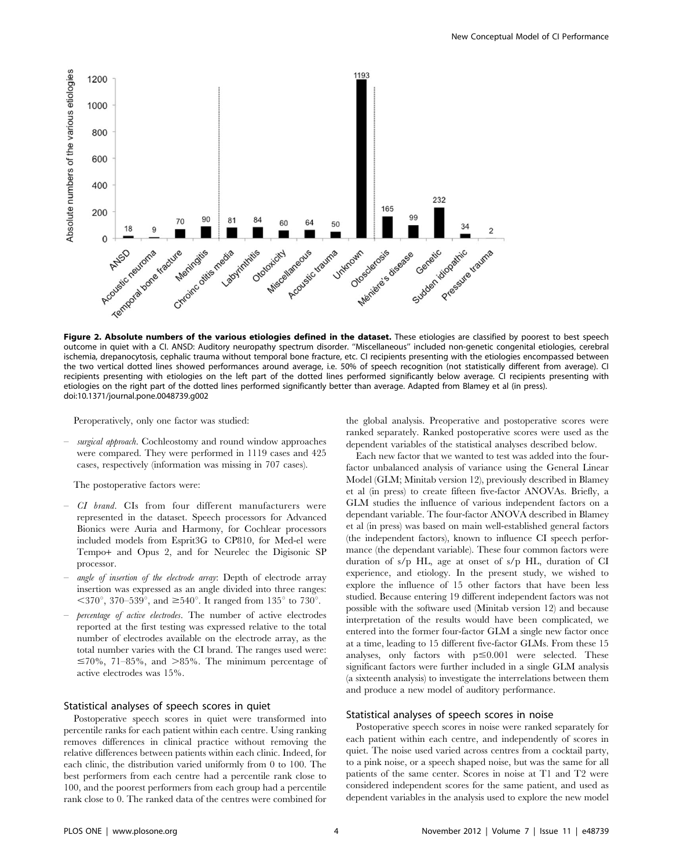

Figure 2. Absolute numbers of the various etiologies defined in the dataset. These etiologies are classified by poorest to best speech outcome in quiet with a CI. ANSD: Auditory neuropathy spectrum disorder. ''Miscellaneous'' included non-genetic congenital etiologies, cerebral ischemia, drepanocytosis, cephalic trauma without temporal bone fracture, etc. CI recipients presenting with the etiologies encompassed between the two vertical dotted lines showed performances around average, i.e. 50% of speech recognition (not statistically different from average). CI recipients presenting with etiologies on the left part of the dotted lines performed significantly below average. CI recipients presenting with etiologies on the right part of the dotted lines performed significantly better than average. Adapted from Blamey et al (in press). doi:10.1371/journal.pone.0048739.g002

Peroperatively, only one factor was studied:

– surgical approach. Cochleostomy and round window approaches were compared. They were performed in 1119 cases and 425 cases, respectively (information was missing in 707 cases).

The postoperative factors were:

- CI brand. CIs from four different manufacturers were represented in the dataset. Speech processors for Advanced Bionics were Auria and Harmony, for Cochlear processors included models from Esprit3G to CP810, for Med-el were Tempo+ and Opus 2, and for Neurelec the Digisonic SP processor.
- angle of insertion of the electrode array: Depth of electrode array insertion was expressed as an angle divided into three ranges:  $\langle 370^\circ, 370 \text{--} 539^\circ, \text{ and } \geq 540^\circ.$  It ranged from 135° to 730°.
- percentage of active electrodes. The number of active electrodes reported at the first testing was expressed relative to the total number of electrodes available on the electrode array, as the total number varies with the CI brand. The ranges used were:  $\leq 70\%$ , 71–85%, and  $>85\%$ . The minimum percentage of active electrodes was 15%.

## Statistical analyses of speech scores in quiet

Postoperative speech scores in quiet were transformed into percentile ranks for each patient within each centre. Using ranking removes differences in clinical practice without removing the relative differences between patients within each clinic. Indeed, for each clinic, the distribution varied uniformly from 0 to 100. The best performers from each centre had a percentile rank close to 100, and the poorest performers from each group had a percentile rank close to 0. The ranked data of the centres were combined for the global analysis. Preoperative and postoperative scores were ranked separately. Ranked postoperative scores were used as the dependent variables of the statistical analyses described below.

Each new factor that we wanted to test was added into the fourfactor unbalanced analysis of variance using the General Linear Model (GLM; Minitab version 12), previously described in Blamey et al (in press) to create fifteen five-factor ANOVAs. Briefly, a GLM studies the influence of various independent factors on a dependant variable. The four-factor ANOVA described in Blamey et al (in press) was based on main well-established general factors (the independent factors), known to influence CI speech performance (the dependant variable). These four common factors were duration of s/p HL, age at onset of s/p HL, duration of CI experience, and etiology. In the present study, we wished to explore the influence of 15 other factors that have been less studied. Because entering 19 different independent factors was not possible with the software used (Minitab version 12) and because interpretation of the results would have been complicated, we entered into the former four-factor GLM a single new factor once at a time, leading to 15 different five-factor GLMs. From these 15 analyses, only factors with  $p \le 0.001$  were selected. These significant factors were further included in a single GLM analysis (a sixteenth analysis) to investigate the interrelations between them and produce a new model of auditory performance.

# Statistical analyses of speech scores in noise

Postoperative speech scores in noise were ranked separately for each patient within each centre, and independently of scores in quiet. The noise used varied across centres from a cocktail party, to a pink noise, or a speech shaped noise, but was the same for all patients of the same center. Scores in noise at T1 and T2 were considered independent scores for the same patient, and used as dependent variables in the analysis used to explore the new model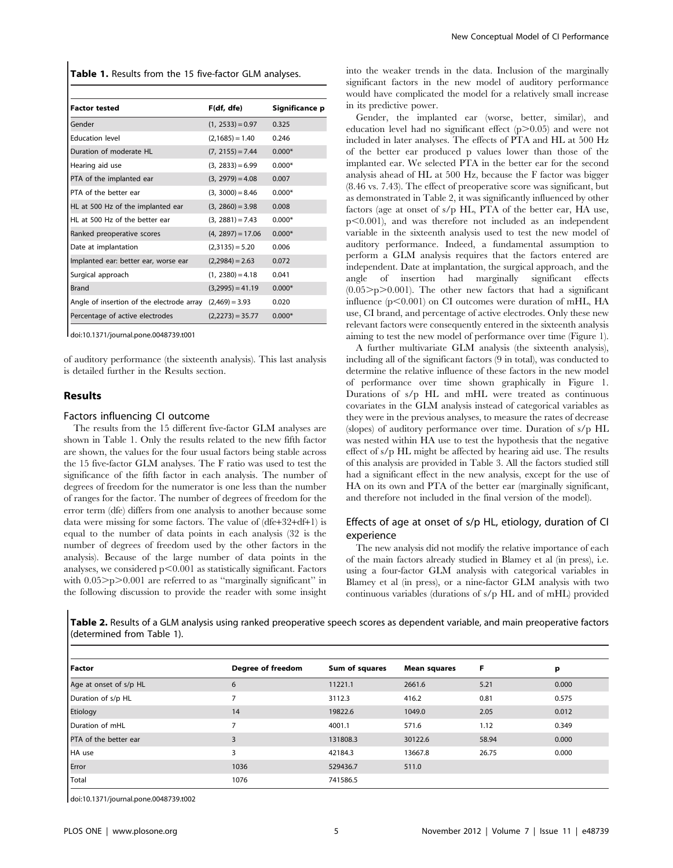Table 1. Results from the 15 five-factor GLM analyses.

| <b>Factor tested</b>                      | F(df, dfe)          | Significance p |
|-------------------------------------------|---------------------|----------------|
| Gender                                    | $(1, 2533) = 0.97$  | 0.325          |
| <b>Education level</b>                    | $(2,1685) = 1.40$   | 0.246          |
| Duration of moderate HL                   | $(7, 2155) = 7.44$  | $0.000*$       |
| Hearing aid use                           | $(3, 2833) = 6.99$  | $0.000*$       |
| PTA of the implanted ear                  | $(3, 2979) = 4.08$  | 0.007          |
| PTA of the better ear                     | $(3, 3000) = 8.46$  | $0.000*$       |
| HL at 500 Hz of the implanted ear         | $(3, 2860) = 3.98$  | 0.008          |
| HL at 500 Hz of the better ear            | $(3, 2881) = 7.43$  | $0.000*$       |
| Ranked preoperative scores                | $(4, 2897) = 17.06$ | $0.000*$       |
| Date at implantation                      | $(2,3135) = 5.20$   | 0.006          |
| Implanted ear: better ear, worse ear      | $(2,2984) = 2.63$   | 0.072          |
| Surgical approach                         | $(1, 2380) = 4.18$  | 0.041          |
| Brand                                     | $(3,2995) = 41.19$  | $0.000*$       |
| Angle of insertion of the electrode array | $(2,469) = 3.93$    | 0.020          |
| Percentage of active electrodes           | $(2,2273) = 35.77$  | $0.000*$       |

doi:10.1371/journal.pone.0048739.t001

of auditory performance (the sixteenth analysis). This last analysis is detailed further in the Results section.

### Results

#### Factors influencing CI outcome

The results from the 15 different five-factor GLM analyses are shown in Table 1. Only the results related to the new fifth factor are shown, the values for the four usual factors being stable across the 15 five-factor GLM analyses. The F ratio was used to test the significance of the fifth factor in each analysis. The number of degrees of freedom for the numerator is one less than the number of ranges for the factor. The number of degrees of freedom for the error term (dfe) differs from one analysis to another because some data were missing for some factors. The value of (dfe+32+df+1) is equal to the number of data points in each analysis (32 is the number of degrees of freedom used by the other factors in the analysis). Because of the large number of data points in the analyses, we considered  $p<0.001$  as statistically significant. Factors with  $0.05$  >p $>0.001$  are referred to as "marginally significant" in the following discussion to provide the reader with some insight

Error 1036 529436.7 511.0

Total 1076 741586.5

into the weaker trends in the data. Inclusion of the marginally significant factors in the new model of auditory performance would have complicated the model for a relatively small increase in its predictive power.

Gender, the implanted ear (worse, better, similar), and education level had no significant effect  $(p>0.05)$  and were not included in later analyses. The effects of PTA and HL at 500 Hz of the better ear produced p values lower than those of the implanted ear. We selected PTA in the better ear for the second analysis ahead of HL at 500 Hz, because the F factor was bigger (8.46 vs. 7.43). The effect of preoperative score was significant, but as demonstrated in Table 2, it was significantly influenced by other factors (age at onset of s/p HL, PTA of the better ear, HA use,  $p<0.001$ ), and was therefore not included as an independent variable in the sixteenth analysis used to test the new model of auditory performance. Indeed, a fundamental assumption to perform a GLM analysis requires that the factors entered are independent. Date at implantation, the surgical approach, and the angle of insertion had marginally significant effects  $(0.05 > p > 0.001)$ . The other new factors that had a significant influence  $(p<0.001)$  on CI outcomes were duration of mHL, HA use, CI brand, and percentage of active electrodes. Only these new relevant factors were consequently entered in the sixteenth analysis aiming to test the new model of performance over time (Figure 1).

A further multivariate GLM analysis (the sixteenth analysis), including all of the significant factors (9 in total), was conducted to determine the relative influence of these factors in the new model of performance over time shown graphically in Figure 1. Durations of s/p HL and mHL were treated as continuous covariates in the GLM analysis instead of categorical variables as they were in the previous analyses, to measure the rates of decrease (slopes) of auditory performance over time. Duration of s/p HL was nested within HA use to test the hypothesis that the negative effect of s/p HL might be affected by hearing aid use. The results of this analysis are provided in Table 3. All the factors studied still had a significant effect in the new analysis, except for the use of HA on its own and PTA of the better ear (marginally significant, and therefore not included in the final version of the model).

## Effects of age at onset of s/p HL, etiology, duration of CI experience

The new analysis did not modify the relative importance of each of the main factors already studied in Blamey et al (in press), i.e. using a four-factor GLM analysis with categorical variables in Blamey et al (in press), or a nine-factor GLM analysis with two continuous variables (durations of s/p HL and of mHL) provided

| Factor                 | Degree of freedom | Sum of squares | <b>Mean squares</b> | F     | p     |
|------------------------|-------------------|----------------|---------------------|-------|-------|
| Age at onset of s/p HL | 6                 | 11221.1        | 2661.6              | 5.21  | 0.000 |
| Duration of s/p HL     |                   | 3112.3         | 416.2               | 0.81  | 0.575 |
| Etiology               | 14                | 19822.6        | 1049.0              | 2.05  | 0.012 |
| Duration of mHL        |                   | 4001.1         | 571.6               | 1.12  | 0.349 |
| PTA of the better ear  |                   | 131808.3       | 30122.6             | 58.94 | 0.000 |
| HA use                 |                   | 42184.3        | 13667.8             | 26.75 | 0.000 |

Table 2. Results of a GLM analysis using ranked preoperative speech scores as dependent variable, and main preoperative factors (determined from Table 1).

doi:10.1371/journal.pone.0048739.t002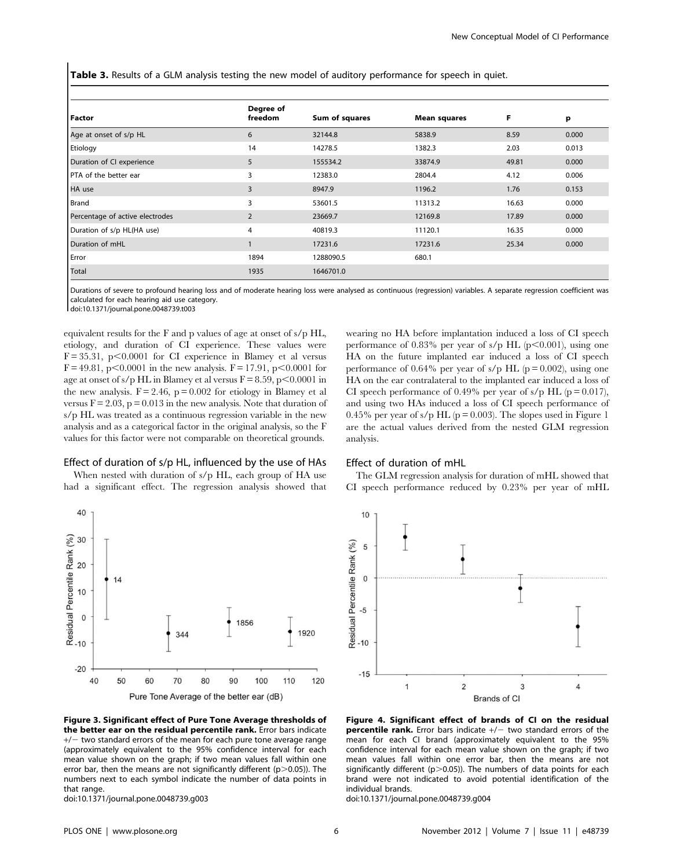Table 3. Results of a GLM analysis testing the new model of auditory performance for speech in quiet.

| Factor                          | Degree of<br>freedom | Sum of squares | <b>Mean squares</b> | F     | р     |
|---------------------------------|----------------------|----------------|---------------------|-------|-------|
| Age at onset of s/p HL          | 6                    | 32144.8        | 5838.9              | 8.59  | 0.000 |
| Etiology                        | 14                   | 14278.5        | 1382.3              | 2.03  | 0.013 |
| Duration of CI experience       | 5                    | 155534.2       | 33874.9             | 49.81 | 0.000 |
| <b>PTA</b> of the better ear    | 3                    | 12383.0        | 2804.4              | 4.12  | 0.006 |
| HA use                          | 3                    | 8947.9         | 1196.2              | 1.76  | 0.153 |
| Brand                           | 3                    | 53601.5        | 11313.2             | 16.63 | 0.000 |
| Percentage of active electrodes | $\overline{2}$       | 23669.7        | 12169.8             | 17.89 | 0.000 |
| Duration of s/p HL(HA use)      | 4                    | 40819.3        | 11120.1             | 16.35 | 0.000 |
| Duration of mHL                 |                      | 17231.6        | 17231.6             | 25.34 | 0.000 |
| Error                           | 1894                 | 1288090.5      | 680.1               |       |       |
| Total                           | 1935                 | 1646701.0      |                     |       |       |

Durations of severe to profound hearing loss and of moderate hearing loss were analysed as continuous (regression) variables. A separate regression coefficient was calculated for each hearing aid use category.

analysis.

doi:10.1371/journal.pone.0048739.t003

equivalent results for the F and p values of age at onset of s/p HL, etiology, and duration of CI experience. These values were  $F = 35.31$ , p $< 0.0001$  for CI experience in Blamey et al versus  $F = 49.81$ , p $< 0.0001$  in the new analysis.  $F = 17.91$ , p $< 0.0001$  for age at onset of s/p HL in Blamey et al versus  $F = 8.59$ , p $< 0.0001$  in the new analysis.  $F = 2.46$ ,  $p = 0.002$  for etiology in Blamey et al versus  $F = 2.03$ ,  $p = 0.013$  in the new analysis. Note that duration of s/p HL was treated as a continuous regression variable in the new analysis and as a categorical factor in the original analysis, so the F values for this factor were not comparable on theoretical grounds.

#### Effect of duration of s/p HL, influenced by the use of HAs

When nested with duration of s/p HL, each group of HA use had a significant effect. The regression analysis showed that



Figure 3. Significant effect of Pure Tone Average thresholds of the better ear on the residual percentile rank. Error bars indicate  $+/-$  two standard errors of the mean for each pure tone average range (approximately equivalent to the 95% confidence interval for each mean value shown on the graph; if two mean values fall within one error bar, then the means are not significantly different ( $p$  > 0.05)). The numbers next to each symbol indicate the number of data points in that range.

doi:10.1371/journal.pone.0048739.g003

Effect of duration of mHL

The GLM regression analysis for duration of mHL showed that CI speech performance reduced by 0.23% per year of mHL

wearing no HA before implantation induced a loss of CI speech performance of 0.83% per year of s/p HL ( $p$ <0.001), using one HA on the future implanted ear induced a loss of CI speech performance of 0.64% per year of s/p HL ( $p = 0.002$ ), using one HA on the ear contralateral to the implanted ear induced a loss of CI speech performance of 0.49% per year of s/p HL ( $p = 0.017$ ), and using two HAs induced a loss of CI speech performance of 0.45% per year of s/p HL ( $p = 0.003$ ). The slopes used in Figure 1 are the actual values derived from the nested GLM regression



Figure 4. Significant effect of brands of CI on the residual **percentile rank.** Error bars indicate  $+/-$  two standard errors of the mean for each CI brand (approximately equivalent to the 95% confidence interval for each mean value shown on the graph; if two mean values fall within one error bar, then the means are not significantly different ( $p > 0.05$ )). The numbers of data points for each brand were not indicated to avoid potential identification of the individual brands.

doi:10.1371/journal.pone.0048739.g004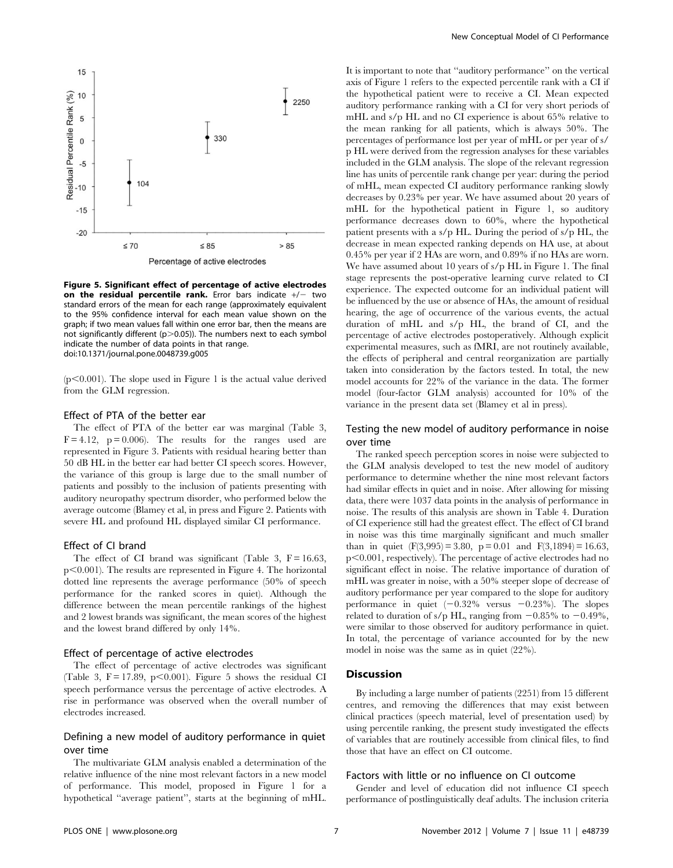

Figure 5. Significant effect of percentage of active electrodes on the residual percentile rank. Error bars indicate  $+/-$  two standard errors of the mean for each range (approximately equivalent to the 95% confidence interval for each mean value shown on the graph; if two mean values fall within one error bar, then the means are not significantly different ( $p > 0.05$ )). The numbers next to each symbol indicate the number of data points in that range. doi:10.1371/journal.pone.0048739.g005

( $p<0.001$ ). The slope used in Figure 1 is the actual value derived from the GLM regression.

# Effect of PTA of the better ear

The effect of PTA of the better ear was marginal (Table 3,  $F = 4.12$ ,  $p = 0.006$ . The results for the ranges used are represented in Figure 3. Patients with residual hearing better than 50 dB HL in the better ear had better CI speech scores. However, the variance of this group is large due to the small number of patients and possibly to the inclusion of patients presenting with auditory neuropathy spectrum disorder, who performed below the average outcome (Blamey et al, in press and Figure 2. Patients with severe HL and profound HL displayed similar CI performance.

#### Effect of CI brand

The effect of CI brand was significant (Table 3,  $F = 16.63$ ,  $p<0.001$ ). The results are represented in Figure 4. The horizontal dotted line represents the average performance (50% of speech performance for the ranked scores in quiet). Although the difference between the mean percentile rankings of the highest and 2 lowest brands was significant, the mean scores of the highest and the lowest brand differed by only 14%.

### Effect of percentage of active electrodes

The effect of percentage of active electrodes was significant (Table 3,  $F = 17.89$ ,  $p < 0.001$ ). Figure 5 shows the residual CI speech performance versus the percentage of active electrodes. A rise in performance was observed when the overall number of electrodes increased.

## Defining a new model of auditory performance in quiet over time

The multivariate GLM analysis enabled a determination of the relative influence of the nine most relevant factors in a new model of performance. This model, proposed in Figure 1 for a hypothetical ''average patient'', starts at the beginning of mHL.

It is important to note that ''auditory performance'' on the vertical axis of Figure 1 refers to the expected percentile rank with a CI if the hypothetical patient were to receive a CI. Mean expected auditory performance ranking with a CI for very short periods of mHL and s/p HL and no CI experience is about 65% relative to the mean ranking for all patients, which is always 50%. The percentages of performance lost per year of mHL or per year of s/ p HL were derived from the regression analyses for these variables included in the GLM analysis. The slope of the relevant regression line has units of percentile rank change per year: during the period of mHL, mean expected CI auditory performance ranking slowly decreases by 0.23% per year. We have assumed about 20 years of mHL for the hypothetical patient in Figure 1, so auditory performance decreases down to 60%, where the hypothetical patient presents with a s/p HL. During the period of s/p HL, the decrease in mean expected ranking depends on HA use, at about 0.45% per year if 2 HAs are worn, and 0.89% if no HAs are worn. We have assumed about 10 years of s/p HL in Figure 1. The final stage represents the post-operative learning curve related to CI experience. The expected outcome for an individual patient will be influenced by the use or absence of HAs, the amount of residual hearing, the age of occurrence of the various events, the actual duration of mHL and s/p HL, the brand of CI, and the percentage of active electrodes postoperatively. Although explicit experimental measures, such as fMRI, are not routinely available, the effects of peripheral and central reorganization are partially taken into consideration by the factors tested. In total, the new model accounts for 22% of the variance in the data. The former model (four-factor GLM analysis) accounted for 10% of the variance in the present data set (Blamey et al in press).

# Testing the new model of auditory performance in noise over time

The ranked speech perception scores in noise were subjected to the GLM analysis developed to test the new model of auditory performance to determine whether the nine most relevant factors had similar effects in quiet and in noise. After allowing for missing data, there were 1037 data points in the analysis of performance in noise. The results of this analysis are shown in Table 4. Duration of CI experience still had the greatest effect. The effect of CI brand in noise was this time marginally significant and much smaller than in quiet  $(F(3,995) = 3.80, p = 0.01$  and  $F(3,1894) = 16.63$ ,  $p<0.001$ , respectively). The percentage of active electrodes had no significant effect in noise. The relative importance of duration of mHL was greater in noise, with a 50% steeper slope of decrease of auditory performance per year compared to the slope for auditory performance in quiet  $(-0.32\% \text{ versus } -0.23\%)$ . The slopes related to duration of s/p HL, ranging from  $-0.85\%$  to  $-0.49\%$ , were similar to those observed for auditory performance in quiet. In total, the percentage of variance accounted for by the new model in noise was the same as in quiet (22%).

## Discussion

By including a large number of patients (2251) from 15 different centres, and removing the differences that may exist between clinical practices (speech material, level of presentation used) by using percentile ranking, the present study investigated the effects of variables that are routinely accessible from clinical files, to find those that have an effect on CI outcome.

#### Factors with little or no influence on CI outcome

Gender and level of education did not influence CI speech performance of postlinguistically deaf adults. The inclusion criteria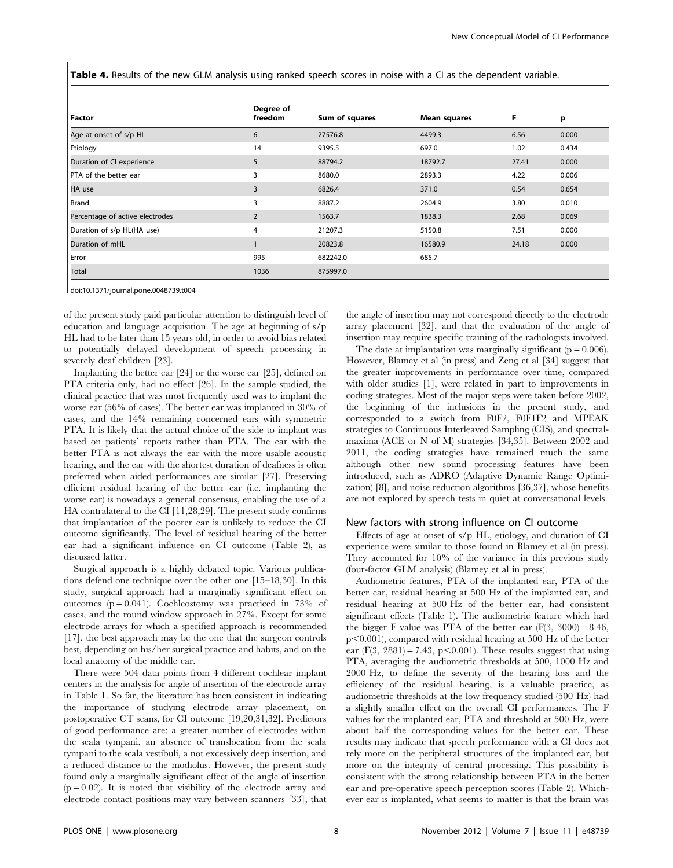Table 4. Results of the new GLM analysis using ranked speech scores in noise with a CI as the dependent variable.

| Factor                          | Degree of<br>freedom | Sum of squares | <b>Mean squares</b> | F     | р     |
|---------------------------------|----------------------|----------------|---------------------|-------|-------|
| Age at onset of s/p HL          | 6                    | 27576.8        | 4499.3              | 6.56  | 0.000 |
| Etiology                        | 14                   | 9395.5         | 697.0               | 1.02  | 0.434 |
| Duration of CI experience       | 5                    | 88794.2        | 18792.7             | 27.41 | 0.000 |
| PTA of the better ear           | 3                    | 8680.0         | 2893.3              | 4.22  | 0.006 |
| HA use                          | 3                    | 6826.4         | 371.0               | 0.54  | 0.654 |
| Brand                           | 3                    | 8887.2         | 2604.9              | 3.80  | 0.010 |
| Percentage of active electrodes | 2                    | 1563.7         | 1838.3              | 2.68  | 0.069 |
| Duration of s/p HL(HA use)      | 4                    | 21207.3        | 5150.8              | 7.51  | 0.000 |
| Duration of mHL                 |                      | 20823.8        | 16580.9             | 24.18 | 0.000 |
| Error                           | 995                  | 682242.0       | 685.7               |       |       |
| Total                           | 1036                 | 875997.0       |                     |       |       |

doi:10.1371/journal.pone.0048739.t004

of the present study paid particular attention to distinguish level of education and language acquisition. The age at beginning of s/p HL had to be later than 15 years old, in order to avoid bias related to potentially delayed development of speech processing in severely deaf children [23].

Implanting the better ear [24] or the worse ear [25], defined on PTA criteria only, had no effect [26]. In the sample studied, the clinical practice that was most frequently used was to implant the worse ear (56% of cases). The better ear was implanted in 30% of cases, and the 14% remaining concerned ears with symmetric PTA. It is likely that the actual choice of the side to implant was based on patients' reports rather than PTA. The ear with the better PTA is not always the ear with the more usable acoustic hearing, and the ear with the shortest duration of deafness is often preferred when aided performances are similar [27]. Preserving efficient residual hearing of the better ear (i.e. implanting the worse ear) is nowadays a general consensus, enabling the use of a HA contralateral to the CI [11,28,29]. The present study confirms that implantation of the poorer ear is unlikely to reduce the CI outcome significantly. The level of residual hearing of the better ear had a significant influence on CI outcome (Table 2), as discussed latter.

Surgical approach is a highly debated topic. Various publications defend one technique over the other one [15–18,30]. In this study, surgical approach had a marginally significant effect on outcomes ( $p = 0.041$ ). Cochleostomy was practiced in 73% of cases, and the round window approach in 27%. Except for some electrode arrays for which a specified approach is recommended [17], the best approach may be the one that the surgeon controls best, depending on his/her surgical practice and habits, and on the local anatomy of the middle ear.

There were 504 data points from 4 different cochlear implant centers in the analysis for angle of insertion of the electrode array in Table 1. So far, the literature has been consistent in indicating the importance of studying electrode array placement, on postoperative CT scans, for CI outcome [19,20,31,32]. Predictors of good performance are: a greater number of electrodes within the scala tympani, an absence of translocation from the scala tympani to the scala vestibuli, a not excessively deep insertion, and a reduced distance to the modiolus. However, the present study found only a marginally significant effect of the angle of insertion  $(p = 0.02)$ . It is noted that visibility of the electrode array and electrode contact positions may vary between scanners [33], that

the angle of insertion may not correspond directly to the electrode array placement [32], and that the evaluation of the angle of insertion may require specific training of the radiologists involved.

The date at implantation was marginally significant ( $p = 0.006$ ). However, Blamey et al (in press) and Zeng et al [34] suggest that the greater improvements in performance over time, compared with older studies [1], were related in part to improvements in coding strategies. Most of the major steps were taken before 2002, the beginning of the inclusions in the present study, and corresponded to a switch from F0F2, F0F1F2 and MPEAK strategies to Continuous Interleaved Sampling (CIS), and spectralmaxima (ACE or N of M) strategies [34,35]. Between 2002 and 2011, the coding strategies have remained much the same although other new sound processing features have been introduced, such as ADRO (Adaptive Dynamic Range Optimization) [8], and noise reduction algorithms [36,37], whose benefits are not explored by speech tests in quiet at conversational levels.

#### New factors with strong influence on CI outcome

Effects of age at onset of s/p HL, etiology, and duration of CI experience were similar to those found in Blamey et al (in press). They accounted for 10% of the variance in this previous study (four-factor GLM analysis) (Blamey et al in press).

Audiometric features, PTA of the implanted ear, PTA of the better ear, residual hearing at 500 Hz of the implanted ear, and residual hearing at 500 Hz of the better ear, had consistent significant effects (Table 1). The audiometric feature which had the bigger F value was PTA of the better ear  $(F(3, 3000) = 8.46,$  $p<0.001$ ), compared with residual hearing at 500 Hz of the better ear (F(3, 2881) = 7.43, p $<$ 0.001). These results suggest that using PTA, averaging the audiometric thresholds at 500, 1000 Hz and 2000 Hz, to define the severity of the hearing loss and the efficiency of the residual hearing, is a valuable practice, as audiometric thresholds at the low frequency studied (500 Hz) had a slightly smaller effect on the overall CI performances. The F values for the implanted ear, PTA and threshold at 500 Hz, were about half the corresponding values for the better ear. These results may indicate that speech performance with a CI does not rely more on the peripheral structures of the implanted ear, but more on the integrity of central processing. This possibility is consistent with the strong relationship between PTA in the better ear and pre-operative speech perception scores (Table 2). Whichever ear is implanted, what seems to matter is that the brain was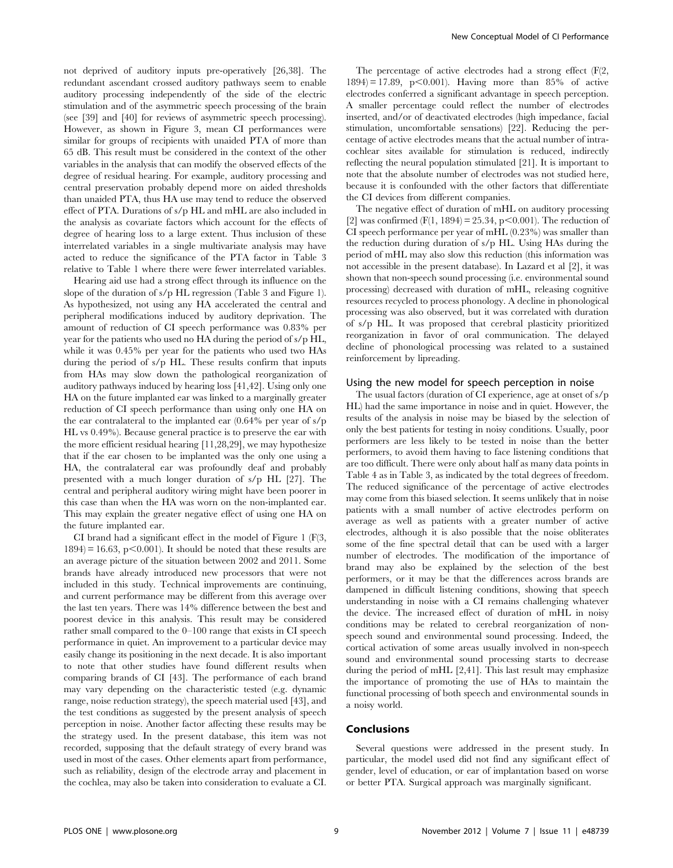not deprived of auditory inputs pre-operatively [26,38]. The redundant ascendant crossed auditory pathways seem to enable auditory processing independently of the side of the electric stimulation and of the asymmetric speech processing of the brain (see [39] and [40] for reviews of asymmetric speech processing). However, as shown in Figure 3, mean CI performances were similar for groups of recipients with unaided PTA of more than 65 dB. This result must be considered in the context of the other variables in the analysis that can modify the observed effects of the degree of residual hearing. For example, auditory processing and central preservation probably depend more on aided thresholds than unaided PTA, thus HA use may tend to reduce the observed effect of PTA. Durations of s/p HL and mHL are also included in the analysis as covariate factors which account for the effects of degree of hearing loss to a large extent. Thus inclusion of these interrelated variables in a single multivariate analysis may have acted to reduce the significance of the PTA factor in Table 3 relative to Table 1 where there were fewer interrelated variables.

Hearing aid use had a strong effect through its influence on the slope of the duration of s/p HL regression (Table 3 and Figure 1). As hypothesized, not using any HA accelerated the central and peripheral modifications induced by auditory deprivation. The amount of reduction of CI speech performance was 0.83% per year for the patients who used no HA during the period of s/p HL, while it was 0.45% per year for the patients who used two HAs during the period of s/p HL. These results confirm that inputs from HAs may slow down the pathological reorganization of auditory pathways induced by hearing loss [41,42]. Using only one HA on the future implanted ear was linked to a marginally greater reduction of CI speech performance than using only one HA on the ear contralateral to the implanted ear (0.64% per year of s/p HL vs 0.49%). Because general practice is to preserve the ear with the more efficient residual hearing [11,28,29], we may hypothesize that if the ear chosen to be implanted was the only one using a HA, the contralateral ear was profoundly deaf and probably presented with a much longer duration of s/p HL [27]. The central and peripheral auditory wiring might have been poorer in this case than when the HA was worn on the non-implanted ear. This may explain the greater negative effect of using one HA on the future implanted ear.

CI brand had a significant effect in the model of Figure 1 (F(3,  $1894$  = 16.63, p $< 0.001$ ). It should be noted that these results are an average picture of the situation between 2002 and 2011. Some brands have already introduced new processors that were not included in this study. Technical improvements are continuing, and current performance may be different from this average over the last ten years. There was 14% difference between the best and poorest device in this analysis. This result may be considered rather small compared to the 0–100 range that exists in CI speech performance in quiet. An improvement to a particular device may easily change its positioning in the next decade. It is also important to note that other studies have found different results when comparing brands of CI [43]. The performance of each brand may vary depending on the characteristic tested (e.g. dynamic range, noise reduction strategy), the speech material used [43], and the test conditions as suggested by the present analysis of speech perception in noise. Another factor affecting these results may be the strategy used. In the present database, this item was not recorded, supposing that the default strategy of every brand was used in most of the cases. Other elements apart from performance, such as reliability, design of the electrode array and placement in the cochlea, may also be taken into consideration to evaluate a CI.

The percentage of active electrodes had a strong effect (F(2,  $1894$  = 17.89, p<0.001). Having more than 85% of active electrodes conferred a significant advantage in speech perception. A smaller percentage could reflect the number of electrodes inserted, and/or of deactivated electrodes (high impedance, facial stimulation, uncomfortable sensations) [22]. Reducing the percentage of active electrodes means that the actual number of intracochlear sites available for stimulation is reduced, indirectly reflecting the neural population stimulated [21]. It is important to note that the absolute number of electrodes was not studied here, because it is confounded with the other factors that differentiate the CI devices from different companies.

The negative effect of duration of mHL on auditory processing [2] was confirmed  $(F(1, 1894) = 25.34, p < 0.001)$ . The reduction of CI speech performance per year of mHL (0.23%) was smaller than the reduction during duration of s/p HL. Using HAs during the period of mHL may also slow this reduction (this information was not accessible in the present database). In Lazard et al [2], it was shown that non-speech sound processing (i.e. environmental sound processing) decreased with duration of mHL, releasing cognitive resources recycled to process phonology. A decline in phonological processing was also observed, but it was correlated with duration of s/p HL. It was proposed that cerebral plasticity prioritized reorganization in favor of oral communication. The delayed decline of phonological processing was related to a sustained reinforcement by lipreading.

## Using the new model for speech perception in noise

The usual factors (duration of CI experience, age at onset of s/p HL) had the same importance in noise and in quiet. However, the results of the analysis in noise may be biased by the selection of only the best patients for testing in noisy conditions. Usually, poor performers are less likely to be tested in noise than the better performers, to avoid them having to face listening conditions that are too difficult. There were only about half as many data points in Table 4 as in Table 3, as indicated by the total degrees of freedom. The reduced significance of the percentage of active electrodes may come from this biased selection. It seems unlikely that in noise patients with a small number of active electrodes perform on average as well as patients with a greater number of active electrodes, although it is also possible that the noise obliterates some of the fine spectral detail that can be used with a larger number of electrodes. The modification of the importance of brand may also be explained by the selection of the best performers, or it may be that the differences across brands are dampened in difficult listening conditions, showing that speech understanding in noise with a CI remains challenging whatever the device. The increased effect of duration of mHL in noisy conditions may be related to cerebral reorganization of nonspeech sound and environmental sound processing. Indeed, the cortical activation of some areas usually involved in non-speech sound and environmental sound processing starts to decrease during the period of mHL [2,41]. This last result may emphasize the importance of promoting the use of HAs to maintain the functional processing of both speech and environmental sounds in a noisy world.

## Conclusions

Several questions were addressed in the present study. In particular, the model used did not find any significant effect of gender, level of education, or ear of implantation based on worse or better PTA. Surgical approach was marginally significant.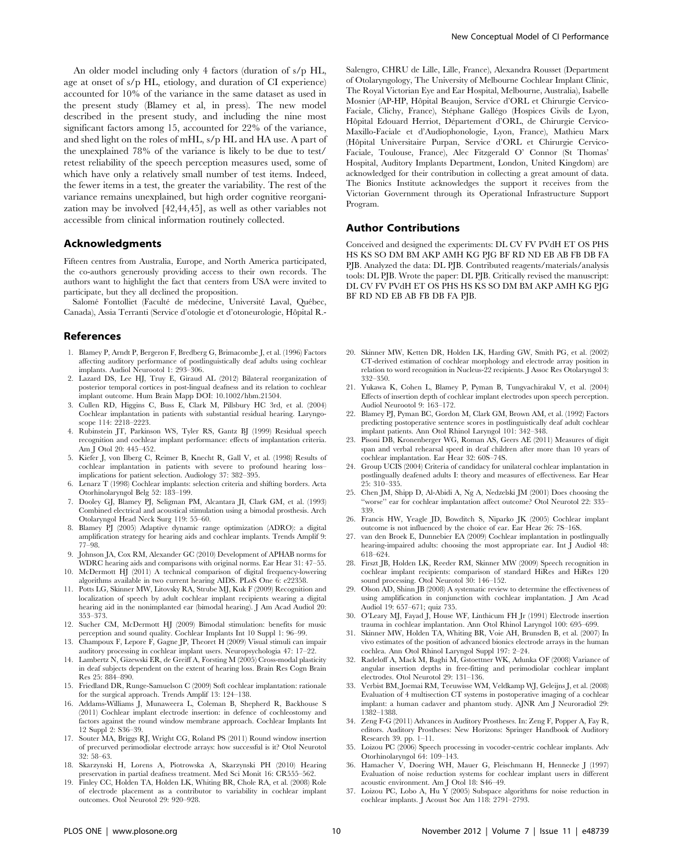An older model including only 4 factors (duration of s/p HL, age at onset of s/p HL, etiology, and duration of CI experience) accounted for 10% of the variance in the same dataset as used in the present study (Blamey et al, in press). The new model described in the present study, and including the nine most significant factors among 15, accounted for 22% of the variance, and shed light on the roles of mHL, s/p HL and HA use. A part of the unexplained 78% of the variance is likely to be due to test/ retest reliability of the speech perception measures used, some of which have only a relatively small number of test items. Indeed, the fewer items in a test, the greater the variability. The rest of the variance remains unexplained, but high order cognitive reorganization may be involved [42,44,45], as well as other variables not accessible from clinical information routinely collected.

## Acknowledgments

Fifteen centres from Australia, Europe, and North America participated, the co-authors generously providing access to their own records. The authors want to highlight the fact that centers from USA were invited to participate, but they all declined the proposition.

Salomé Fontolliet (Faculté de médecine, Université Laval, Québec, Canada), Assia Terranti (Service d'otologie et d'otoneurologie, Hôpital R.-

## References

- 1. Blamey P, Arndt P, Bergeron F, Bredberg G, Brimacombe J, et al. (1996) Factors affecting auditory performance of postlinguistically deaf adults using cochlear implants. Audiol Neurootol 1: 293–306.
- 2. Lazard DS, Lee HJ, Truy E, Giraud AL (2012) Bilateral reorganization of posterior temporal cortices in post-lingual deafness and its relation to cochlear implant outcome. Hum Brain Mapp DOI: 10.1002/hbm.21504.
- 3. Cullen RD, Higgins C, Buss E, Clark M, Pillsbury HC 3rd, et al. (2004) Cochlear implantation in patients with substantial residual hearing. Laryngoscope 114: 2218–2223.
- 4. Rubinstein JT, Parkinson WS, Tyler RS, Gantz BJ (1999) Residual speech recognition and cochlear implant performance: effects of implantation criteria. Am J Otol 20: 445–452.
- 5. Kiefer J, von Ilberg C, Reimer B, Knecht R, Gall V, et al. (1998) Results of cochlear implantation in patients with severe to profound hearing loss– implications for patient selection. Audiology 37: 382–395.
- 6. Lenarz T (1998) Cochlear implants: selection criteria and shifting borders. Acta Otorhinolaryngol Belg 52: 183–199.
- 7. Dooley GJ, Blamey PJ, Seligman PM, Alcantara JI, Clark GM, et al. (1993) Combined electrical and acoustical stimulation using a bimodal prosthesis. Arch Otolaryngol Head Neck Surg 119: 55–60.
- 8. Blamey PJ (2005) Adaptive dynamic range optimization (ADRO): a digital amplification strategy for hearing aids and cochlear implants. Trends Amplif 9: 77–98.
- 9. Johnson JA, Cox RM, Alexander GC (2010) Development of APHAB norms for WDRC hearing aids and comparisons with original norms. Ear Hear 31: 47–55.
- 10. McDermott HJ (2011) A technical comparison of digital frequency-lowering algorithms available in two current hearing AIDS. PLoS One 6: e22358.
- 11. Potts LG, Skinner MW, Litovsky RA, Strube MJ, Kuk F (2009) Recognition and localization of speech by adult cochlear implant recipients wearing a digital hearing aid in the nonimplanted ear (bimodal hearing). J Am Acad Audiol 20: 353–373.
- 12. Sucher CM, McDermott HJ (2009) Bimodal stimulation: benefits for music perception and sound quality. Cochlear Implants Int 10 Suppl 1: 96–99.
- 13. Champoux F, Lepore F, Gagne JP, Theoret H (2009) Visual stimuli can impair auditory processing in cochlear implant users. Neuropsychologia 47: 17–22.
- 14. Lambertz N, Gizewski ER, de Greiff A, Forsting M (2005) Cross-modal plasticity in deaf subjects dependent on the extent of hearing loss. Brain Res Cogn Brain Res 25: 884–890.
- 15. Friedland DR, Runge-Samuelson C (2009) Soft cochlear implantation: rationale for the surgical approach. Trends Amplif 13: 124–138.
- 16. Addams-Williams J, Munaweera L, Coleman B, Shepherd R, Backhouse S (2011) Cochlear implant electrode insertion: in defence of cochleostomy and factors against the round window membrane approach. Cochlear Implants Int 12 Suppl 2: S36–39.
- 17. Souter MA, Briggs RJ, Wright CG, Roland PS (2011) Round window insertion of precurved perimodiolar electrode arrays: how successful is it? Otol Neurotol 32: 58–63.
- 18. Skarzynski H, Lorens A, Piotrowska A, Skarzynski PH (2010) Hearing preservation in partial deafness treatment. Med Sci Monit 16: CR555–562.
- 19. Finley CC, Holden TA, Holden LK, Whiting BR, Chole RA, et al. (2008) Role of electrode placement as a contributor to variability in cochlear implant outcomes. Otol Neurotol 29: 920–928.

Salengro, CHRU de Lille, Lille, France), Alexandra Rousset (Department of Otolaryngology, The University of Melbourne Cochlear Implant Clinic, The Royal Victorian Eye and Ear Hospital, Melbourne, Australia), Isabelle Mosnier (AP-HP, Hôpital Beaujon, Service d'ORL et Chirurgie Cervico-Faciale, Clichy, France), Stéphane Gallégo (Hospices Civils de Lyon, Hôpital Edouard Herriot, Département d'ORL, de Chirurgie Cervico-Maxillo-Faciale et d'Audiophonologie, Lyon, France), Mathieu Marx (Hôpital Universitaire Purpan, Service d'ORL et Chirurgie Cervico-Faciale, Toulouse, France), Alec Fitzgerald O' Connor (St Thomas' Hospital, Auditory Implants Department, London, United Kingdom) are acknowledged for their contribution in collecting a great amount of data. The Bionics Institute acknowledges the support it receives from the Victorian Government through its Operational Infrastructure Support Program.

## Author Contributions

Conceived and designed the experiments: DL CV FV PVdH ET OS PHS HS KS SO DM BM AKP AMH KG PJG BF RD ND EB AB FB DB FA PJB. Analyzed the data: DL PJB. Contributed reagents/materials/analysis tools: DL PJB. Wrote the paper: DL PJB. Critically revised the manuscript: DL CV FV PVdH ET OS PHS HS KS SO DM BM AKP AMH KG PJG BF RD ND EB AB FB DB FA PJB.

- 20. Skinner MW, Ketten DR, Holden LK, Harding GW, Smith PG, et al. (2002) CT-derived estimation of cochlear morphology and electrode array position in relation to word recognition in Nucleus-22 recipients. J Assoc Res Otolaryngol 3: 332–350.
- 21. Yukawa K, Cohen L, Blamey P, Pyman B, Tungvachirakul V, et al. (2004) Effects of insertion depth of cochlear implant electrodes upon speech perception. Audiol Neurootol 9: 163–172.
- 22. Blamey PJ, Pyman BC, Gordon M, Clark GM, Brown AM, et al. (1992) Factors predicting postoperative sentence scores in postlinguistically deaf adult cochlear implant patients. Ann Otol Rhinol Laryngol 101: 342–348.
- 23. Pisoni DB, Kronenberger WG, Roman AS, Geers AE (2011) Measures of digit span and verbal rehearsal speed in deaf children after more than 10 years of cochlear implantation. Ear Hear 32: 60S–74S.
- 24. Group UCIS (2004) Criteria of candidacy for unilateral cochlear implantation in postlingually deafened adults I: theory and measures of effectiveness. Ear Hear 25: 310–335.
- 25. Chen JM, Shipp D, Al-Abidi A, Ng A, Nedzelski JM (2001) Does choosing the ''worse'' ear for cochlear implantation affect outcome? Otol Neurotol 22: 335– 339.
- 26. Francis HW, Yeagle JD, Bowditch S, Niparko JK (2005) Cochlear implant outcome is not influenced by the choice of ear. Ear Hear 26: 7S–16S.
- 27. van den Broek E, Dunnebier EA (2009) Cochlear implantation in postlingually hearing-impaired adults: choosing the most appropriate ear. Int J Audiol 48: 618–624.
- 28. Firszt JB, Holden LK, Reeder RM, Skinner MW (2009) Speech recognition in cochlear implant recipients: comparison of standard HiRes and HiRes 120 sound processing. Otol Neurotol 30: 146–152.
- 29. Olson AD, Shinn JB (2008) A systematic review to determine the effectiveness of using amplification in conjunction with cochlear implantation. J Am Acad Audiol 19: 657–671; quiz 735.
- 30. O'Leary MJ, Fayad J, House WF, Linthicum FH Jr (1991) Electrode insertion trauma in cochlear implantation. Ann Otol Rhinol Laryngol 100: 695–699.
- 31. Skinner MW, Holden TA, Whiting BR, Voie AH, Brunsden B, et al. (2007) In vivo estimates of the position of advanced bionics electrode arrays in the human cochlea. Ann Otol Rhinol Laryngol Suppl 197: 2–24.
- 32. Radeloff A, Mack M, Baghi M, Gstoettner WK, Adunka OF (2008) Variance of angular insertion depths in free-fitting and perimodiolar cochlear implant electrodes. Otol Neurotol 29: 131–136.
- 33. Verbist BM, Joemai RM, Teeuwisse WM, Veldkamp WJ, Geleijns J, et al. (2008) Evaluation of 4 multisection CT systems in postoperative imaging of a cochlear implant: a human cadaver and phantom study. AJNR Am J Neuroradiol 29: 1382–1388.
- 34. Zeng F-G (2011) Advances in Auditory Prostheses. In: Zeng F, Popper A, Fay R, editors. Auditory Prostheses: New Horizons: Springer Handbook of Auditory Research 39. pp. 1–11.
- 35. Loizou PC (2006) Speech processing in vocoder-centric cochlear implants. Adv Otorhinolaryngol 64: 109–143.
- 36. Hamacher V, Doering WH, Mauer G, Fleischmann H, Hennecke J (1997) Evaluation of noise reduction systems for cochlear implant users in different acoustic environment. Am J Otol 18: S46–49.
- 37. Loizou PC, Lobo A, Hu Y (2005) Subspace algorithms for noise reduction in cochlear implants. J Acoust Soc Am 118: 2791–2793.